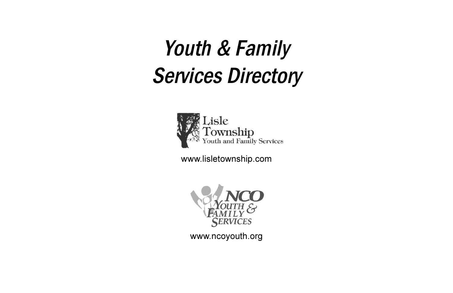# Youth & Family **Services Directory**



www.lisletownship.com



www.ncoyouth.org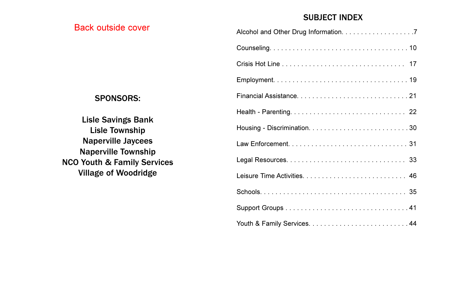### Back outside cover

#### SUBJECT INDEX

#### SPONSORS:

Lisle Savings Bank Lisle Township Naperville Jaycees Naperville Township NCO Youth & Family Services Village of Woodridge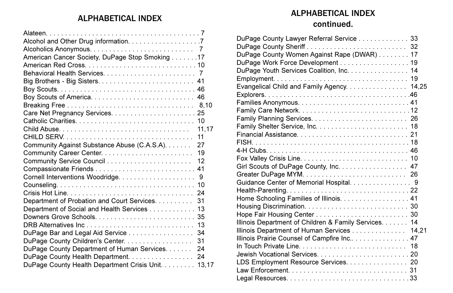### ALPHABETICAL INDEX<br>continued.

| American Cancer Society, DuPage Stop Smoking 17    |    |
|----------------------------------------------------|----|
|                                                    |    |
|                                                    |    |
|                                                    |    |
|                                                    |    |
| Boy Scouts of America 46                           |    |
|                                                    |    |
|                                                    |    |
|                                                    |    |
|                                                    |    |
|                                                    |    |
| Community Against Substance Abuse (C.A.S.A). 27    |    |
|                                                    |    |
|                                                    |    |
|                                                    |    |
|                                                    | 9  |
|                                                    |    |
|                                                    |    |
| Department of Probation and Court Services. 31     |    |
| Department of Social and Health Services 13        |    |
|                                                    |    |
|                                                    |    |
| DuPage Bar and Legal Aid Service 34                |    |
| DuPage County Children's Center.                   | 31 |
| DuPage County Department of Human Services. 24     |    |
|                                                    |    |
| DuPage County Health Department Crisis Unit. 13,17 |    |

## ALPHABETICAL INDEX

| DuPage County Lawyer Referral Service 33              |  |
|-------------------------------------------------------|--|
|                                                       |  |
| DuPage County Women Against Rape (DWAR) 17            |  |
| DuPage Work Force Development 19                      |  |
| DuPage Youth Services Coalition, Inc. 14              |  |
|                                                       |  |
| Evangelical Child and Family Agency. 14,25            |  |
|                                                       |  |
|                                                       |  |
|                                                       |  |
|                                                       |  |
|                                                       |  |
|                                                       |  |
|                                                       |  |
|                                                       |  |
|                                                       |  |
| Girl Scouts of DuPage County, Inc. 47                 |  |
|                                                       |  |
| Guidance Center of Memorial Hospital. 9               |  |
|                                                       |  |
| Home Schooling Families of Illinois. 41               |  |
|                                                       |  |
|                                                       |  |
| Illinois Department of Children & Family Services. 14 |  |
| Illinois Department of Human Services 14,21           |  |
| Illinois Prairie Counsel of Campfire Inc 47           |  |
|                                                       |  |
|                                                       |  |
| LDS Employment Resource Services. 20                  |  |
|                                                       |  |
|                                                       |  |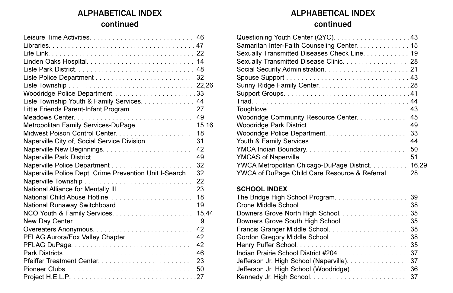### ALPHABETICAL INDEX continued

| Lisle Township Youth & Family Services. 44             |       |
|--------------------------------------------------------|-------|
| Little Friends Parent-Infant Program. 27               |       |
|                                                        |       |
| Metropolitan Family Services-DuPage. 15,16             |       |
|                                                        | 18    |
| Naperville, City of, Social Service Division.          | 31    |
|                                                        | 42    |
|                                                        | 49    |
|                                                        | 32    |
| Naperville Police Dept. Crime Prevention Unit I-Search | 32    |
|                                                        | 22    |
|                                                        | 23    |
| National Child Abuse Hotline                           | 18    |
|                                                        | 19    |
|                                                        | 15.44 |
|                                                        | 9     |
|                                                        | 42    |
| PFLAG Aurora/Fox Valley Chapter.                       | 42    |
|                                                        | 42    |
|                                                        | 46    |
| Pfeiffer Treatment Center                              | 23    |
|                                                        |       |
|                                                        |       |

### ALPHABETICAL INDEX

#### continued

| Samaritan Inter-Faith Counseling Center. 15       |  |
|---------------------------------------------------|--|
| Sexually Transmitted Diseases Check Line. 19      |  |
| Sexually Transmitted Disease Clinic. 28           |  |
|                                                   |  |
|                                                   |  |
|                                                   |  |
|                                                   |  |
|                                                   |  |
|                                                   |  |
| Woodridge Community Resource Center. 45           |  |
|                                                   |  |
|                                                   |  |
|                                                   |  |
| YMCA Indian Boundary 50                           |  |
|                                                   |  |
| YWCA Metropolitan Chicago-DuPage District. 16,29  |  |
| YWCA of DuPage Child Care Resource & Referral. 28 |  |

#### **SCHOOL INDEX**

| Downers Grove North High School. 35       |     |
|-------------------------------------------|-----|
| Downers Grove South High School. 35       |     |
|                                           |     |
|                                           |     |
|                                           |     |
| Indian Prairie School District #204. 37   |     |
| Jefferson Jr. High School (Naperville).   | -37 |
| Jefferson Jr. High School (Woodridge). 36 |     |
|                                           |     |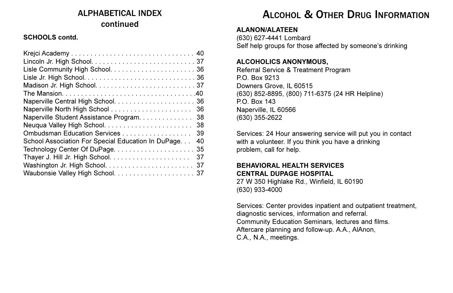### ALPHABETICAL INDEX continued

#### **SCHOOLS contd.**

| 36                                                       |
|----------------------------------------------------------|
| Naperville Student Assistance Program.<br>38             |
| Neuqua Valley High School<br>38                          |
| Ombudsman Education Services<br>39                       |
| School Association For Special Education In DuPage<br>40 |
| Technology Center Of DuPage<br>-35                       |
| 37                                                       |
| 37                                                       |
|                                                          |

### ALCOHOL & OTHER DRUG INFORMATION

#### **ALANON/ALATEEN**

(630) 627-4441 Lombard Self help groups for those affected by someone's drinking

#### **ALCOHOLICS ANONYMOUS,**

Referral Service & Treatment Program P.O. Box 9213 Downers Grove, IL 60515 (630) 852-8895, (800) 711-6375 (24 HR Helpline) P.O. Box 143 Naperville, IL 60566 (630) 355-2622

Services: 24 Hour answering service will put you in contact with a volunteer. If you think you have a drinking problem, call for help.

#### **BEHAVIORAL HEALTH SERVICES CENTRAL DUPAGE HOSPITAL**

27 W 350 Highlake Rd., Winfield, IL 60190 (630) 933-4000

Services: Center provides inpatient and outpatient treatment, diagnostic services, information and referral. Community Education Seminars, lectures and films. Aftercare planning and follow-up. A.A., AlAnon, C.A., N.A., meetings.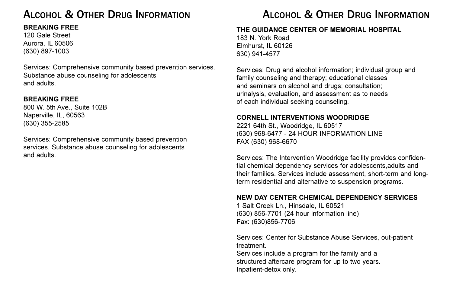### ALCOHOL & OTHER DRUG INFORMATION ALCOHOL & OTHER DRUG INFORMATION

#### **BREAKING FREE**

120 Gale Street Aurora, IL 60506 (630) 897-1003

Services: Comprehensive community based prevention services. Substance abuse counseling for adolescents and adults.

#### **BREAKING FREE**

800 W. 5th Ave., Suite 102B Naperville, IL, 60563 (630) 355-2585

Services: Comprehensive community based prevention services. Substance abuse counseling for adolescents and adults.

#### **THE GUIDANCE CENTER OF MEMORIAL HOSPITAL**

183 N. York Road Elmhurst, IL 60126 630) 941-4577

Services: Drug and alcohol information; individual group and family counseling and therapy; educational classes and seminars on alcohol and drugs; consultation; urinalysis, evaluation, and assessment as to needs of each individual seeking counseling.

#### **CORNELL INTERVENTIONS WOODRIDGE**

2221 64th St., Woodridge, IL 60517 (630) 968-6477 - 24 HOUR INFORMATION LINE FAX (630) 968-6670

Services: The Intervention Woodridge facility provides confidential chemical dependency services for adolescents,adults and their families. Services include assessment, short-term and longterm residential and alternative to suspension programs.

#### **NEW DAY CENTER CHEMICAL DEPENDENCY SERVICES**

1 Salt Creek Ln., Hinsdale, IL 60521 (630) 856-7701 (24 hour information line) Fax: (630)856-7706

Services: Center for Substance Abuse Services, out-patient treatment.

Services include a program for the family and a structured aftercare program for up to two years. Inpatient-detox only.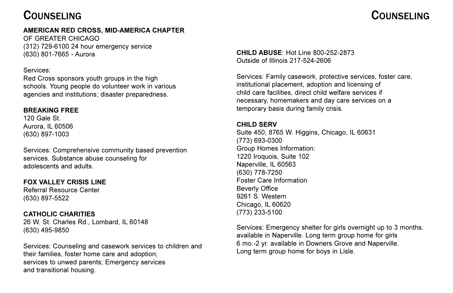### **COUNSELING**

#### **AMERICAN RED CROSS, MID-AMERICA CHAPTER**

OF GREATER CHICAGO (312) 729-6100 24 hour emergency service (630) 801-7665 - Aurora

#### Services:

Red Cross sponsors youth groups in the high schools. Young people do volunteer work in various agencies and institutions; disaster preparedness.

#### **BREAKING FREE**

120 Gale St. Aurora, IL 60506 (630) 897-1003

Services: Comprehensive community based prevention services. Substance abuse counseling for adolescents and adults.

#### **FOX VALLEY CRISIS LINE**

Referral Resource Center (630) 897-5522

#### **CATHOLIC CHARITIES**

26 W. St. Charles Rd., Lombard, IL 60148 (630) 495-9850

Services: Counseling and casework services to children and their families, foster home care and adoption; services to unwed parents; Emergency services and transitional housing.

**CHILD ABUSE**: Hot Line 800-252-2873 Outside of Illinois 217-524-2606

Services: Family casework, protective services, foster care, institutional placement, adoption and licensing of child care facilities, direct child welfare services if necessary, homemakers and day care services on a temporary basis during family crisis.

#### **CHILD SERV**

Suite 450, 8765 W. Higgins, Chicago, IL 60631 (773) 693-0300 Group Homes Information: 1220 Iroquois, Suite 102 Naperville, IL 60563 (630) 778-7250 Foster Care Information Beverly Office 9261 S. Western Chicago, IL 60620 (773) 233-5100

Services: Emergency shelter for girls overnight up to 3 months. available in Naperville. Long term group home for girls 6 mo.-2 yr. available in Downers Grove and Naperville. Long term group home for boys in Lisle.

### COUNSELING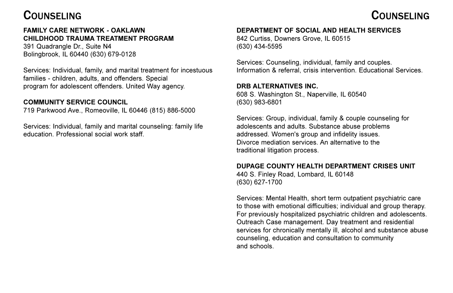### **COUNSELING**

#### **FAMILY CARE NETWORK - OAKLAWN CHILDHOOD TRAUMA TREATMENT PROGRAM**

391 Quadrangle Dr., Suite N4 Bolingbrook, IL 60440 (630) 679-0128

Services: Individual, family, and marital treatment for incestuous families - children, adults, and offenders. Special program for adolescent offenders. United Way agency.

#### **COMMUNITY SERVICE COUNCIL**

719 Parkwood Ave., Romeoville, IL 60446 (815) 886-5000

Services: Individual, family and marital counseling: family life education. Professional social work staff.

#### **DEPARTMENT OF SOCIAL AND HEALTH SERVICES**

842 Curtiss, Downers Grove, IL 60515 (630) 434-5595

Services: Counseling, individual, family and couples. Information & referral, crisis intervention. Educational Services.

#### **DRB ALTERNATIVES INC.**

608 S. Washington St., Naperville, IL 60540 (630) 983-6801

Services: Group, individual, family & couple counseling for adolescents and adults. Substance abuse problems addressed. Women's group and infidelity issues. Divorce mediation services. An alternative to the traditional litigation process.

#### **DUPAGE COUNTY HEALTH DEPARTMENT CRISES UNIT**

440 S. Finley Road, Lombard, IL 60148 (630) 627-1700

Services: Mental Health, short term outpatient psychiatric care to those with emotional difficulties; individual and group therapy. For previously hospitalized psychiatric children and adolescents. Outreach Case management. Day treatment and residential services for chronically mentally ill, alcohol and substance abuse counseling, education and consultation to community and schools.

### COUNSELING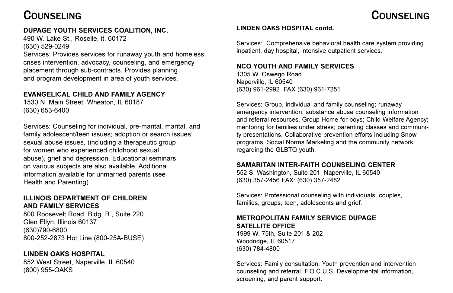### COUNSELING COUNSELING

#### **DUPAGE YOUTH SERVICES COALITION, INC.**

490 W. Lake St., Roselle, it. 60172 (630) 529-0249

Services: Provides services for runaway youth and homeless; crises intervention, advocacy, counseling, and emergency placement through sub-contracts. Provides planning and program development in area of youth services.

#### **EVANGELICAL CHILD AND FAMILY AGENCY**

1530 N. Main Street, Wheaton, IL 60187 (630) 653-6400

Services: Counseling for individual, pre-marital, marital, and family adolescent/teen issues; adoption or search issues; sexual abuse issues, (including a therapeutic group for women who experienced childhood sexual abuse), grief and depression. Educational seminars on various subjects are also available. Additional information available for unmarried parents (see Health and Parenting)

#### **ILLINOIS DEPARTMENT OF CHILDREN AND FAMILY SERVICES**

800 Roosevelt Road, Bldg. B., Suite 220 Glen Ellyn, Illinois 60137 (630)790-6800 800-252-2873 Hot Line (800-25A-BUSE)

#### **LINDEN OAKS HOSPITAL**

852 West Street, Naperville, IL 60540 (800) 955-OAKS

#### **LINDEN OAKS HOSPITAL contd.**

Services: Comprehensive behavioral health care system providing inpatient, day hospital, intensive outpatient services.

#### **NCO YOUTH AND FAMILY SERVICES**

1305 W. Oswego Road Naperville, IL 60540 (630) 961-2992 FAX (630) 961-7251

Services: Group, individual and family counseling; runaway emergency intervention; substance abuse counseling information and referral resources, Group Home for boys; Child Welfare Agency; mentoring for families under stress; parenting classes and community presentations. Collaborative prevention efforts including Snow programs, Social Norms Marketing and the community network regarding the GLBTQ youth.

#### **SAMARITAN INTER-FAITH COUNSELING CENTER**

552 S. Washington, Suite 201, Naperville, IL 60540 (630) 357-2456 FAX: (630) 357-2482

Services: Professional counseling with individuals, couples, families, groups, teen, adolescents and grief.

#### **METROPOLITAN FAMILY SERVICE DUPAGE SATELLITE OFFICE**

1999 W. 75th, Suite 201 & 202 Woodridge, IL 60517 (630) 784-4800

Services: Family consultation. Youth prevention and intervention counseling and referral. F.O.C.U.S. Developmental information, screening, and parent support.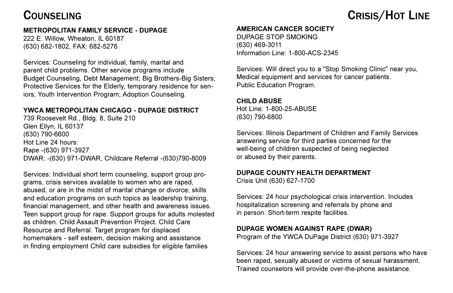### COUNSELING

#### **METROPOLITAN FAMILY SERVICE - DUPAGE**

222 E. Willow, Wheaton, IL 60187 (630) 682-1802, FAX: 682-5276

Services: Counseling for individual, family, marital and parent child problems. Other service programs include Budget Counseling, Debt Management; Big Brothers-Big Sisters; Protective Services for the Elderly, temporary residence for seniors; Youth Intervention Program; Adoption Counseling.

#### **YWCA METROPOLITAN CHICAGO - DUPAGE DISTRICT**

739 Roosevelt Rd., Bldg. 8, Suite 210 Glen Ellyn, IL 60137 (630) 790-6600 Hot Line 24 hours: Rape -(630) 971-3927 DWAR: -(630) 971-DWAR, Childcare Referral -(630)790-8009

Services: Individual short term counseling, support group programs, crisis services available to women who are raped, abused, or are in the midst of marital change or divorce; skills and education programs on such topics as leadership training, financial management, and other health and awareness issues. Teen support group for rape. Support groups for adults molested as children. Child Assault Prevention Project. Child Care Resource and Referral. Target program for displaced homemakers - self esteem, decision making and assistance in finding employment Child care subsidies for eligible families

#### **AMERICAN CANCER SOCIETY**

DUPAGE STOP SMOKING (630) 469-3011 Information Line: 1-800-ACS-2345

Services: Will direct you to a "Stop Smoking Clinic" near you, Medical equipment and services for cancer patients. Public Education Program.

#### **CHILD ABUSE**

Hot Line: 1-800-25-ABUSE (630) 790-6800

Services: Illinois Department of Children and Family Services answering service for third parties concerned for the well-being of children suspected of being neglected or abused by their parents.

#### **DUPAGE COUNTY HEALTH DEPARTMENT**

Crisis Unit (630) 627-1700

Services: 24 hour psychological crisis intervention. Includes hospitalization screening and referrals by phone and in person. Short-term respite facilities.

#### **DUPAGE WOMEN AGAINST RAPE (DWAR)**

Program of the YWCA DuPage District (630) 971-3927

Services: 24 hour answering service to assist persons who have been raped, sexually abused or victims of sexual harassment. Trained counselors will provide over-the-phone assistance.

## CRISIS/HOT LINE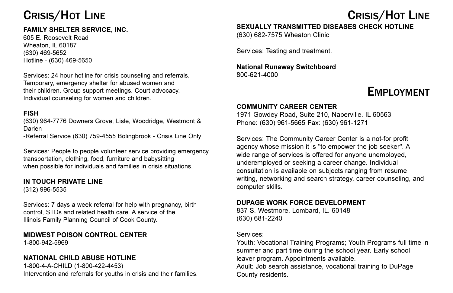### CRISIS/HOT LINE

#### **FAMILY SHELTER SERVICE, INC.**

605 E. Roosevelt Road Wheaton, IL 60187 (630) 469-5652 Hotline - (630) 469-5650

Services: 24 hour hotline for crisis counseling and referrals. Temporary, emergency shelter for abused women and their children. Group support meetings. Court advocacy. Individual counseling for women and children.

#### **FISH**

(630) 964-7776 Downers Grove, Lisle, Woodridge, Westmont & Darien

-Referral Service (630) 759-4555 Bolingbrook - Crisis Line Only

Services: People to people volunteer service providing emergency transportation, clothing, food, furniture and babysitting when possible for individuals and families in crisis situations.

#### **IN TOUCH PRIVATE LINE**

(312) 996-5535

Services: 7 days a week referral for help with pregnancy, birth control, STDs and related health care. A service of the Illinois Family Planning Council of Cook County.

### **MIDWEST POISON CONTROL CENTER**

1-800-942-5969

#### **NATIONAL CHILD ABUSE HOTLINE**

1-800-4-A-CHILD (1-800-422-4453) Intervention and referrals for youths in crisis and their families.

## CRISIS/HOT LINE

#### **SEXUALLY TRANSMITTED DISEASES CHECK HOTLINE**

(630) 682-7575 Wheaton Clinic

Services: Testing and treatment.

#### **National Runaway Switchboard** 800-621-4000

### EMPLOYMENT

#### **COMMUNITY CAREER CENTER**

1971 Gowdey Road, Suite 210, Naperville. IL 60563 Phone: (630) 961-5665 Fax: (630) 961-1271

Services: The Community Career Center is a not-for profit agency whose mission it is "to empower the job seeker". A wide range of services is offered for anyone unemployed, underemployed or seeking a career change. Individual consultation is available on subjects ranging from resume writing, networking and search strategy, career counseling, and computer skills.

#### **DUPAGE WORK FORCE DEVELOPMENT**

837 S. Westmore, Lombard, IL. 60148 (630) 681-2240

#### Services:

Youth: Vocational Training Programs; Youth Programs full time in summer and part time during the school year. Early school leaver program. Appointments available. Adult: Job search assistance, vocational training to DuPage

County residents.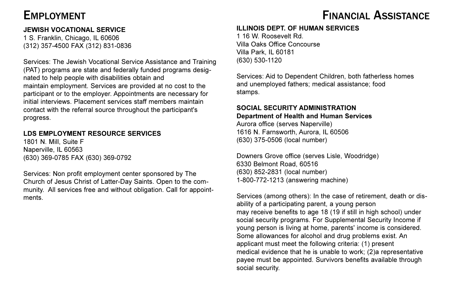#### **JEWISH VOCATIONAL SERVICE**

1 S. Franklin, Chicago, IL 60606 (312) 357-4500 FAX (312) 831-0836

Services: The Jewish Vocational Service Assistance and Training (PAT) programs are state and federally funded programs designated to help people with disabilities obtain and maintain employment. Services are provided at no cost to the participant or to the employer. Appointments are necessary for initial interviews. Placement services staff members maintain contact with the referral source throughout the participant's progress.

#### **LDS EMPLOYMENT RESOURCE SERVICES**

1801 N. Mill, Suite F Naperville, IL 60563 (630) 369-0785 FAX (630) 369-0792

Services: Non profit employment center sponsored by The Church of Jesus Christ of Latter-Day Saints. Open to the community. All services free and without obligation. Call for appointments.

### EMPLOYMENT EMPLOYMENT

#### **ILLINOIS DEPT. OF HUMAN SERVICES**

1 16 W. Roosevelt Rd. Villa Oaks Office Concourse Villa Park, IL 60181 (630) 530-1120

Services: Aid to Dependent Children, both fatherless homes and unemployed fathers; medical assistance; food stamps.

#### **SOCIAL SECURITY ADMINISTRATION Department of Health and Human Services**

Aurora office (serves Naperville) 1616 N. Farnsworth, Aurora, IL 60506 (630) 375-0506 (local number)

Downers Grove office (serves Lisle, Woodridge) 6330 Belmont Road, 60516 (630) 852-2831 (local number) 1-800-772-1213 (answering machine)

Services (among others): In the case of retirement, death or disability of a participating parent, a young person may receive benefits to age 18 (19 if still in high school) under social security programs. For Supplemental Security Income if young person is living at home, parents' income is considered. Some allowances for alcohol and drug problems exist. An applicant must meet the following criteria: (1) present medical evidence that he is unable to work; (2)a representative payee must be appointed. Survivors benefits available through social security.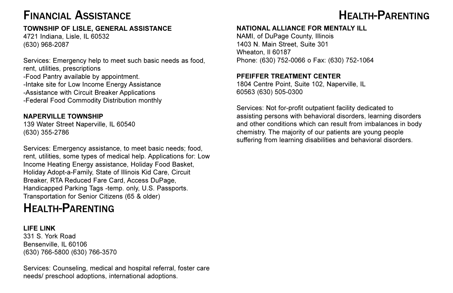### FINANCIAL ASSISTANCE **HEALTH-PARENTING**

### **TOWNSHIP OF LISLE, GENERAL ASSISTANCE**

4721 Indiana, Lisle, IL 60532 (630) 968-2087

Services: Emergency help to meet such basic needs as food, rent, utilities, prescriptions -Food Pantry available by appointment. -Intake site for Low Income Energy Assistance -Assistance with Circuit Breaker Applications -Federal Food Commodity Distribution monthly

#### **NAPERVILLE TOWNSHIP**

139 Water Street Naperville, IL 60540 (630) 355-2786

Services: Emergency assistance, to meet basic needs; food, rent, utilities, some types of medical help. Applications for: Low Income Heating Energy assistance, Holiday Food Basket, Holiday Adopt-a-Family, State of Illinois Kid Care, Circuit Breaker, RTA Reduced Fare Card, Access DuPage, Handicapped Parking Tags -temp. only, U.S. Passports. Transportation for Senior Citizens (65 & older)

### HEALTH-PARENTING

**LIFE LINK**  331 S. York Road Bensenville, IL 60106 (630) 766-5800 (630) 766-3570

Services: Counseling, medical and hospital referral, foster care needs/ preschool adoptions, international adoptions.

#### **NATIONAL ALLIANCE FOR MENTALY ILL**

NAMI, of DuPage County, Illinois 1403 N. Main Street, Suite 301 Wheaton, Il 60187 Phone: (630) 752-0066 o Fax: (630) 752-1064

#### **PFEIFFER TREATMENT CENTER**

1804 Centre Point, Suite 102, Naperville, IL 60563 (630) 505-0300

Services: Not for-profit outpatient facility dedicated to assisting persons with behavioral disorders, learning disorders and other conditions which can result from imbalances in body chemistry. The majority of our patients are young people suffering from learning disabilities and behavioral disorders.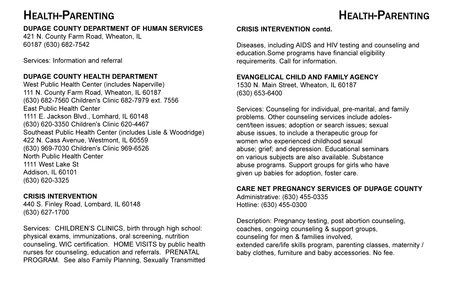### HEALTH-PARENTING

### HEALTH-PARENTING

#### **DUPAGE COUNTY DEPARTMENT OF HUMAN SERVICES**

421 N. County Farm Road, Wheaton, IL 60187 (630) 682-7542

Services: Information and referral

#### **DUPAGE COUNTY HEALTH DEPARTMENT**

West Public Health Center (includes Naperville) 111 N. County Farm Road, Wheaton, IL 60187 (630) 682-7560 Children's Clinic 682-7979 ext. 7556 East Public Health Center 1111 E. Jackson Blvd., Lomhard, IL 60148 (630) 620-3350 Children's Clinic 620-4467 Southeast Public Health Center (includes Lisle & Woodridge) 422 N. Cass Avenue, Westmont, IL 60559 (630) 969-7030 Children's Clinic 969-6526 North Public Health Center 1111 West Lake St Addison, IL 60101 (630) 620-3325

#### **CRISIS INTERVENTION**

440 S. Finley Road, Lombard, IL 60148 (630) 627-1700

Services: CHILDREN'S CLINICS, birth through high school: physical exams, immunizations, oral screening, nutrition counseling, WIC certification. HOME VISITS by public health nurses for counseling, education and referrals. PRENATAL PROGRAM. See also Family Planning, Sexually Transmitted

#### **CRISIS INTERVENTION contd.**

Diseases, including AIDS and HIV testing and counseling and education.Some programs have financial eligibility requiremerits. Call for information.

#### **EVANGELICAL CHILD AND FAMILY AGENCY**

1530 N. Main Street, Wheaton, IL 60187 (630) 653-6400

Services: Counseling for individual, pre-marital, and family problems. Other counseling services include adolescent/teen issues; adoption or search issues; sexual abuse issues, to include a therapeutic group for women who experienced childhood sexual abuse; grief; and depression. Educational seminars on various subjects are also available. Substance abuse programs. Support groups for girls who have given up babies for adoption, foster care.

#### **CARE NET PREGNANCY SERVICES OF DUPAGE COUNTY**

Administrative: (630) 455-0335 Hotline: (630) 455-0300

Description: Pregnancy testing, post abortion counseling, coaches, ongoing counseling & support groups, counseling for men & families involved, extended care/life skills program, parenting classes, maternity / baby clothes, furniture and baby accessories. No fee.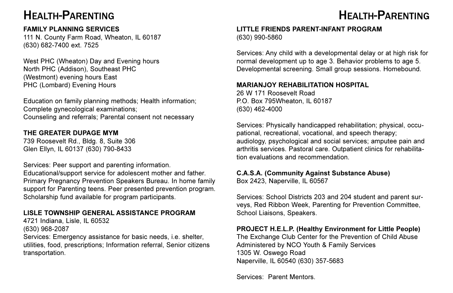### HEALTH-PARENTING

#### **FAMILY PLANNING SERVICES**

111 N. County Farm Road, Wheaton, IL 60187 (630) 682-7400 ext. 7525

West PHC (Wheaton) Day and Evening hours North PHC (Addison), Southeast PHC (Westmont) evening hours East PHC (Lombard) Evening Hours

Education on family planning methods; Health information; Complete gynecological examinations; Counseling and referrals; Parental consent not necessary

#### **THE GREATER DUPAGE MYM**

739 Roosevelt Rd., Bldg. 8, Suite 306 Glen Ellyn, IL 60137 (630) 790-8433

Services: Peer support and parenting information.

Educational/support service for adolescent mother and father. Primary Pregnancy Prevention Speakers Bureau. In home family support for Parenting teens. Peer presented prevention program. Scholarship fund available for program participants.

#### **LISLE TOWNSHIP GENERAL ASSISTANCE PROGRAM**

4721 Indiana, Lisle, IL 60532

(630) 968-2087

Services: Emergency assistance for basic needs, i.e. shelter, utilities, food, prescriptions; Information referral, Senior citizens transportation.

### HEALTH-PARENTING

#### **LITTLE FRIENDS PARENT-INFANT PROGRAM**  (630) 990-5860

Services: Any child with a developmental delay or at high risk for normal development up to age 3. Behavior problems to age 5. Developmental screening. Small group sessions. Homebound.

#### **MARIANJOY REHABILITATION HOSPITAL**

26 W 171 Roosevelt Road P.O. Box 795Wheaton, IL 60187 (630) 462-4000

Services: Physically handicapped rehabilitation; physical, occupational, recreational, vocational, and speech therapy; audiology, psychological and social services; amputee pain and arthritis services. Pastoral care. Outpatient clinics for rehabilitation evaluations and recommendation.

### **C.A.S.A. (Community Against Substance Abuse)**

Box 2423, Naperville, IL 60567

Services: School Districts 203 and 204 student and parent surveys, Red Ribbon Week, Parenting for Prevention Committee, School Liaisons, Speakers.

#### **PROJECT H.E.L.P. (Healthy Environment for Little People)**

The Exchange Club Center for the Prevention of Child Abuse Administered by NCO Youth & Family Services 1305 W. Oswego Road Naperville, IL 60540 (630) 357-5683

Services: Parent Mentors.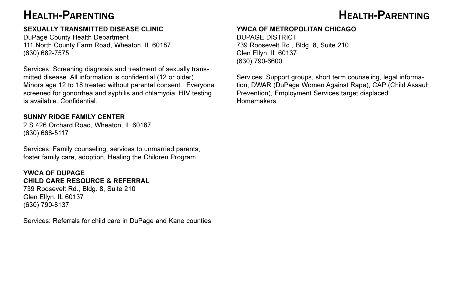### HEALTH-PARENTING

#### **SEXUALLY TRANSMITTED DISEASE CLINIC**

DuPage County Health Department 111 North County Farm Road, Wheaton, IL 60187 (630) 682-7575

Services: Screening diagnosis and treatment of sexually transmitted disease. All information is confidential (12 or older). Minors age 12 to 18 treated without parental consent. Everyone screened for gonorrhea and syphilis and chlamydia. HIV testing is available. Confidential.

#### **SUNNY RIDGE FAMILY CENTER**

2 S 426 Orchard Road, Wheaton, IL 60187 (630) 668-5117

Services: Family counseling, services to unmarried parents, foster family care, adoption, Healing the Children Program.

#### **YWCA OF DUPAGE CHILD CARE RESOURCE & REFERRAL**

739 Roosevelt Rd., Bldg. 8, Suite 210 Glen Ellyn, IL 60137 (630) 790-8137

Services: Referrals for child care in DuPage and Kane counties.

### HEALTH-PARENTING

#### **YWCA OF METROPOLITAN CHICAGO**

DUPAGE DISTRICT 739 Roosevelt Rd., Bldg. 8, Suite 210 Glen Ellyn, IL 60137 (630) 790-6600

Services: Support groups, short term counseling, legal information, DWAR (DuPage Women Against Rape), CAP (Child Assault Prevention), Employment Services target displaced Homemakers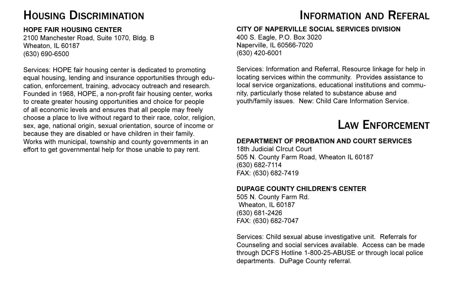### HOUSING DISCRIMINATION

#### **HOPE FAIR HOUSING CENTER**

2100 Manchester Road, Suite 1070, Bldg. B Wheaton, IL 60187 (630) 690-6500

Services: HOPE fair housing center is dedicated to promoting equal housing, lending and insurance opportunities through education, enforcement, training, advocacy outreach and research. Founded in 1968, HOPE, a non-profit fair housing center, works to create greater housing opportunities and choice for people of all economic levels and ensures that all people may freely choose a place to live without regard to their race, color, religion, sex, age, national origin, sexual orientation, source of income or because they are disabled or have children in their family. Works with municipal, township and county governments in an effort to get governmental help for those unable to pay rent.

### INFORMATION AND REFERAL

#### **CITY OF NAPERVILLE SOCIAL SERVICES DIVISION**

400 S. Eagle, P.O. Box 3020 Naperville, IL 60566-7020 (630) 420-6001

Services: Information and Referral, Resource linkage for help in locating services within the community. Provides assistance to local service organizations, educational institutions and community, particularly those related to substance abuse and youth/family issues. New: Child Care Information Service.

### LAW ENFORCEMENT

#### **DEPARTMENT OF PROBATION AND COURT SERVICES**

18th Judicial CIrcut Court 505 N. County Farm Road, Wheaton IL 60187 (630) 682-7114 FAX: (630) 682-7419

#### **DUPAGE COUNTY CHILDREN'S CENTER**

505 N. County Farm Rd. Wheaton, IL 60187 (630) 681-2426 FAX: (630) 682-7047

Services: Child sexual abuse investigative unit. Referrals for Counseling and social services available. Access can be made through DCFS Hotline 1-800-25-ABUSE or through local police departments. DuPage County referral.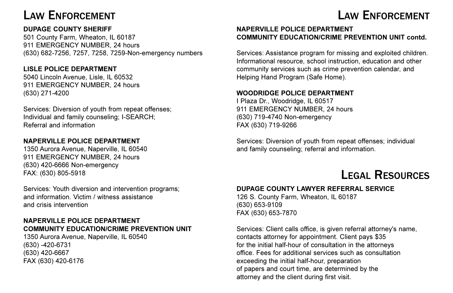### LAW ENFORCEMENT

#### **DUPAGE COUNTY SHERIFF**

501 County Farm, Wheaton, IL 60187 911 EMERGENCY NUMBER, 24 hours (630) 682-7256, 7257, 7258, 7259-Non-emergency numbers

#### **LISLE POLICE DEPARTMENT**

5040 Lincoln Avenue, Lisle, IL 60532 911 EMERGENCY NUMBER, 24 hours (630) 271-4200

Services: Diversion of youth from repeat offenses; Individual and family counseling; I-SEARCH; Referral and information

#### **NAPERVILLE POLICE DEPARTMENT**

1350 Aurora Avenue, Naperville, IL 60540 911 EMERGENCY NUMBER, 24 hours (630) 420-6666 Non-emergency FAX: (630) 805-5918

Services: Youth diversion and intervention programs; and information. Victim / witness assistance and crisis intervention

#### **NAPERVILLE POLICE DEPARTMENT COMMUNITY EDUCATION/CRIME PREVENTION UNIT**

1350 Aurora Avenue, Naperville, IL 60540 (630) -420-6731 (630) 420-6667 FAX (630) 420-6176

#### **NAPERVILLE POLICE DEPARTMENT COMMUNITY EDUCATION/CRIME PREVENTION UNIT contd.**

Services: Assistance program for missing and exploited children. Informational resource, school instruction, education and other community services such as crime prevention calendar, and Helping Hand Program (Safe Home).

#### **WOODRIDGE POLICE DEPARTMENT**

I Plaza Dr., Woodridge, IL 60517 911 EMERGENCY NUMBER, 24 hours (630) 719-4740 Non-emergency FAX (630) 719-9266

Services: Diversion of youth from repeat offenses; individual and family counseling; referral and information.

### LEGAL RESOURCES

LAW ENFORCEMENT

#### **DUPAGE COUNTY LAWYER REFERRAL SERVICE**

126 S. County Farm, Wheaton, IL 60187 (630) 653-9109 FAX (630) 653-7870

Services: Client calls office, is given referral attorney's name, contacts attorney for appointment. Client pays \$35 for the initial half-hour of consultation in the attorneys office. Fees for additional services such as consultation exceeding the initial half-hour, preparation of papers and court time, are determined by the attorney and the client during first visit.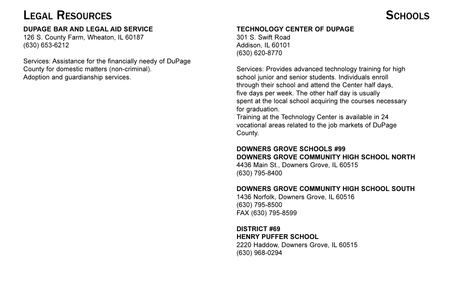### LEGAL RESOURCES

#### **DUPAGE BAR AND LEGAL AID SERVICE**

126 S. County Farm, Wheaton, IL 60187 (630) 653-6212

Services: Assistance for the financially needy of DuPage County for domestic matters (non-criminal). Adoption and guardianship services.

#### **TECHNOLOGY CENTER OF DUPAGE**

301 S. Swift Road Addison, IL 60101 (630) 620-8770

Services: Provides advanced technology training for high school junior and senior students. Individuals enroll through their school and attend the Center half days, five days per week. The other half day is usually spent at the local school acquiring the courses necessary for graduation.

Training at the Technology Center is available in 24 vocational areas related to the job markets of DuPage County.

#### **DOWNERS GROVE SCHOOLS #99 DOWNERS GROVE COMMUNITY HIGH SCHOOL NORTH**

4436 Main St., Downers Grove, IL 60515 (630) 795-8400

#### **DOWNERS GROVE COMMUNITY HIGH SCHOOL SOUTH**

1436 Norfolk, Downers Grove, IL 60516 (630) 795-8500 FAX (630) 795-8599

#### **DISTRICT #69 HENRY PUFFER SCHOOL**

2220 Haddow, Downers Grove, IL 60515 (630) 968-0294

### SCHOOLS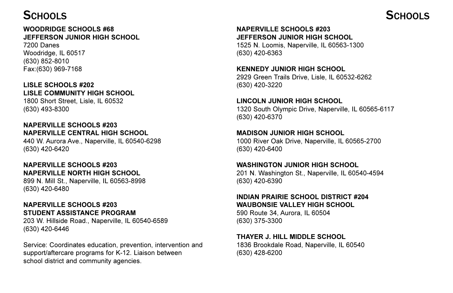### SCHOOLS

#### **WOODRIDGE SCHOOLS #68 JEFFERSON JUNIOR HIGH SCHOOL**

7200 Danes Woodridge, IL 60517 (630) 852-8010 Fax:(630) 969-7168

#### **LISLE SCHOOLS #202 LISLE COMMUNITY HIGH SCHOOL**

1800 Short Street, Lisle, IL 60532 (630) 493-8300

**NAPERVILLE SCHOOLS #203 NAPERVILLE CENTRAL HIGH SCHOOL** 440 W. Aurora Ave., Naperville, IL 60540-6298

(630) 420-6420

#### **NAPERVILLE SCHOOLS #203 NAPERVILLE NORTH HIGH SCHOOL**

899 N. Mill St., Naperville, IL 60563-8998 (630) 420-6480

#### **NAPERVILLE SCHOOLS #203 STUDENT ASSISTANCE PROGRAM**

203 W. Hillside Road., Naperville, IL 60540-6589 (630) 420-6446

Service: Coordinates education, prevention, intervention and support/aftercare programs for K-12. Liaison between school district and community agencies.

#### **NAPERVILLE SCHOOLS #203 JEFFERSON JUNIOR HIGH SCHOOL**

1525 N. Loomis, Naperville, IL 60563-1300 (630) 420-6363

#### **KENNEDY JUNIOR HIGH SCHOOL**

2929 Green Trails Drive, Lisle, IL 60532-6262 (630) 420-3220

#### **LINCOLN JUNIOR HIGH SCHOOL**

1320 South Olympic Drive, Naperville, IL 60565-6117 (630) 420-6370

#### **MADISON JUNIOR HIGH SCHOOL**

1000 River Oak Drive, Naperville, IL 60565-2700 (630) 420-6400

#### **WASHINGTON JUNIOR HIGH SCHOOL**

201 N. Washington St., Naperville, IL 60540-4594 (630) 420-6390

#### **INDIAN PRAIRIE SCHOOL DISTRICT #204 WAUBONSIE VALLEY HIGH SCHOOL**

590 Route 34, Aurora, IL 60504 (630) 375-3300

#### **THAYER J. HILL MIDDLE SCHOOL**

1836 Brookdale Road, Naperville, IL 60540 (630) 428-6200

### SCHOOLS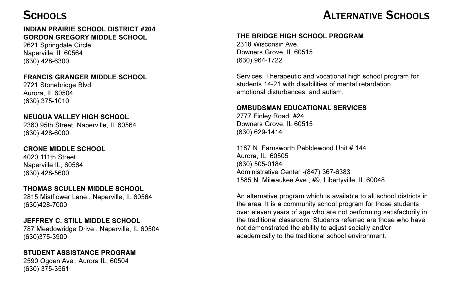#### **INDIAN PRAIRIE SCHOOL DISTRICT #204 GORDON GREGORY MIDDLE SCHOOL**

2621 Springdale Circle Naperville, IL 60564 (630) 428-6300

#### **FRANCIS GRANGER MIDDLE SCHOOL**

2721 Stonebridge Blvd. Aurora, IL 60504 (630) 375-1010

#### **NEUQUA VALLEY HIGH SCHOOL**

2360 95th Street, Naperville, IL 60564 (630) 428-6000

**CRONE MIDDLE SCHOOL** 4020 111th Street Naperville IL, 60564 (630) 428-5600

### **THOMAS SCULLEN MIDDLE SCHOOL**

2815 Mistflower Lane., Naperville, IL 60564 (630)428-7000

#### **JEFFREY C. STILL MIDDLE SCHOOL**

787 Meadowridge Drive., Naperville, IL 60504 (630)375-3900

#### **STUDENT ASSISTANCE PROGRAM**

2590 Ogden Ave., Aurora IL, 60504 (630) 375-3561

### SCHOOLS **SCHOOLS**

#### **THE BRIDGE HIGH SCHOOL PROGRAM**

2318 Wisconsin Ave. Downers Grove, IL 60515 (630) 964-1722

Services: Therapeutic and vocational high school program for students 14-21 with disabilities of mental retardation, emotional disturbances, and autism.

#### **OMBUDSMAN EDUCATIONAL SERVICES**

2777 Finley Road, #24 Downers Grove, IL 60515 (630) 629-1414

1187 N. Farnsworth Pebblewood Unit # 144 Aurora, IL. 60505 (630) 505-0184 Administrative Center -(847) 367-6383 1585 N. Milwaukee Ave., #9, Libertyville, IL 60048

An alternative program which is available to all school districts in the area. It is a community school program for those students over eleven years of age who are not performing satisfactorily in the traditional classroom. Students referred are those who have not demonstrated the ability to adjust socially and/or academically to the traditional school environment.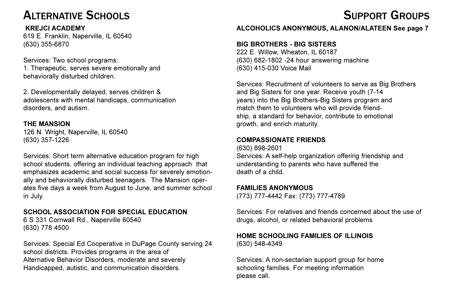### ALTERNATIVE SCHOOLS

#### **KREJCI ACADEMY**

619 E. Franklin, Naperville, IL 60540 (630) 355-6870

Services: Two school programs: 1. Therapeutic, serves severe emotionally and behaviorally disturbed children.

2. Developmentally delayed, serves children & adolescents with mental handicaps, communication disorders, and autism.

#### **THE MANSION**

126 N. Wright, Naperville, IL 60540 (630) 357-1226

Services: Short term alternative education program for high school students, offering an individual teaching approach that emphasizes academic and social success for severely emotionally and behaviorally disturbed teenagers. The Mansion operates five days a week from August to June, and summer school in July.

#### **SCHOOL ASSOCIATION FOR SPECIAL EDUCATION**

6 S 331 Cornwall Rd., Naperville 60540 (630) 778 4500

Services: Special Ed Cooperative in DuPage County serving 24 school districts. Provides programs in the area of Alternative Behavior Disorders, moderate and severely Handicapped, autistic, and communication disorders.

## SUPPORT GROUPS

#### **ALCOHOLICS ANONYMOUS, ALANON/ALATEEN See page 7**

#### **BIG BROTHERS - BIG SISTERS**

222 E. Willow, Wheaton, IL 60187 (630) 682-1802 -24 hour answering machine (630) 415-030 Voice Mail

Services: Recruitment of volunteers to serve as Big Brothers and Big Sisters for one year. Receive youth (7-14 years) into the Big Brothers-Big Sisters program and match them to volunteers who will provide friendship, a standard for behavior, contribute to emotional growth, and enrich maturity.

#### **COMPASSIONATE FRIENDS**

(630) 898-2601 Services: A self-help organization offering friendship and understanding to parents who have suffered the death of a child.

#### **FAMILIES ANONYMOUS**

(773) 777-4442 Fax: (773) 777-4789

Services: For relatives and friends concerned about the use of drugs, alcohol, or related behavioral problems

#### **HOME SCHOOLING FAMILIES OF ILLINOIS** (630) 548-4349

Services: A non-sectarian support group for home schooling families. For meeting information please call.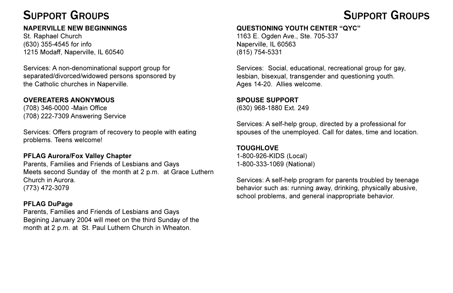#### **NAPERVILLE NEW BEGINNINGS**

St. Raphael Church (630) 355-4545 for info 1215 Modaff, Naperville, IL 60540

Services: A non-denominational support group for separated/divorced/widowed persons sponsored by the Catholic churches in Naperville.

#### **OVEREATERS ANONYMOUS**

(708) 346-0000 -Main Office (708) 222-7309 Answering Service

Services: Offers program of recovery to people with eating problems. Teens welcome!

#### **PFLAG Aurora/Fox Valley Chapter**

Parents, Families and Friends of Lesbians and Gays Meets second Sunday of the month at 2 p.m. at Grace Luthern Church in Aurora. (773) 472-3079

#### **PFLAG DuPage**

Parents, Families and Friends of Lesbians and Gays Begining January 2004 will meet on the third Sunday of the month at 2 p.m. at St. Paul Luthern Church in Wheaton.

### **QUESTIONING YOUTH CENTER "QYC"**

1163 E. Ogden Ave., Ste. 705-337 Naperville, IL 60563 (815) 754-5331

Services: Social, educational, recreational group for gay, lesbian, bisexual, transgender and questioning youth. Ages 14-20. Allies welcome.

#### **SPOUSE SUPPORT**

(630) 968-1880 Ext. 249

Services: A self-help group, directed by a professional for spouses of the unemployed. Call for dates, time and location.

#### **TOUGHLOVE**

1-800-926-KIDS (Local) 1-800-333-1069 (National)

Services: A self-help program for parents troubled by teenage behavior such as: running away, drinking, physically abusive, school problems, and general inappropriate behavior.

## SUPPORT GROUPS SUPPORT GROUPS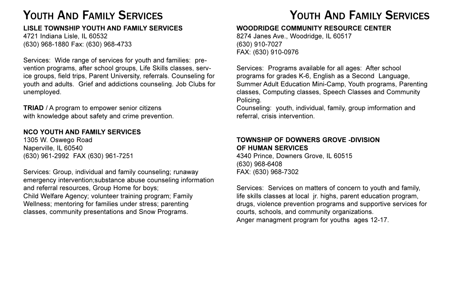### YOUTH AND FAMILY SERVICES

#### **LISLE TOWNSHIP YOUTH AND FAMILY SERVICES**

4721 Indiana Lisle, IL 60532 (630) 968-1880 Fax: (630) 968-4733

Services: Wide range of services for youth and families: prevention programs, after school groups, Life Skills classes, service groups, field trips, Parent University, referrals. Counseling for youth and adults. Grief and addictions counseling. Job Clubs for unemployed.

**TRIAD** / A program to empower senior citizens with knowledge about safety and crime prevention.

#### **NCO YOUTH AND FAMILY SERVICES**

1305 W. Oswego Road Naperville, IL 60540 (630) 961-2992 FAX (630) 961-7251

Services: Group, individual and family counseling; runaway emergency intervention;substance abuse counseling information and referral resources, Group Home for boys; Child Welfare Agency; volunteer training program; Family Wellness; mentoring for families under stress; parenting classes, community presentations and Snow Programs.

### YOUTH AND FAMILY SERVICES

#### **WOODRIDGE COMMUNITY RESOURCE CENTER**

8274 Janes Ave., Woodridge, IL 60517 (630) 910-7027 FAX: (630) 910-0976

Services: Programs available for all ages: After school programs for grades K-6, English as a Second Language, Summer Adult Education Mini-Camp, Youth programs, Parenting classes, Computing classes, Speech Classes and Community Policing.

Counseling: youth, individual, family, group imformation and referral, crisis intervention.

#### **TOWNSHIP OF DOWNERS GROVE -DIVISION OF HUMAN SERVICES**

4340 Prince, Downers Grove, IL 60515 (630) 968-6408 FAX: (630) 968-7302

Services: Services on matters of concern to youth and family, life skills classes at local jr. highs, parent education program, drugs, violence prevention programs and supportive services for courts, schools, and community organizations. Anger managment program for youths ages 12-17.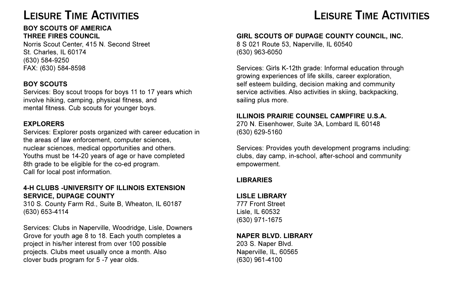### LEISURE TIME ACTIVITIES

#### **BOY SCOUTS OF AMERICA THREE FIRES COUNCIL**

Norris Scout Center, 415 N. Second Street St. Charles, IL 60174 (630) 584-9250 FAX: (630) 584-8598

#### **BOY SCOUTS**

Services: Boy scout troops for boys 11 to 17 years which involve hiking, camping, physical fitness, and mental fitness. Cub scouts for younger boys.

#### **EXPLORERS**

Services: Explorer posts organized with career education in the areas of law enforcement, computer sciences, nuclear sciences, medical opportunities and others. Youths must be 14-20 years of age or have completed 8th grade to be eligible for the co-ed program. Call for local post information.

#### **4-H CLUBS -UNIVERSITY OF ILLINOIS EXTENSION SERVICE, DUPAGE COUNTY**

310 S. County Farm Rd., Suite B, Wheaton, IL 60187 (630) 653-4114

Services: Clubs in Naperville, Woodridge, Lisle, Downers Grove for youth age 8 to 18. Each youth completes a project in his/her interest from over 100 possible projects. Clubs meet usually once a month. Also clover buds program for 5 -7 year olds.

### LEISURE TIME ACTIVITIES

#### **GIRL SCOUTS OF DUPAGE COUNTY COUNCIL, INC.**

8 S 021 Route 53, Naperville, IL 60540 (630) 963-6050

Services: Girls K-12th grade: Informal education through growing experiences of life skills, career exploration, self esteem building, decision making and community service activities. Also activities in skiing, backpacking, sailing plus more.

#### **ILLINOIS PRAIRIE COUNSEL CAMPFIRE U.S.A.**

270 N. Eisenhower, Suite 3A, Lombard IL 60148 (630) 629-5160

Services: Provides youth development programs including: clubs, day camp, in-school, after-school and community empowerment.

#### **LIBRARIES**

#### **LISLE LIBRARY**

777 Front Street Lisle, IL 60532 (630) 971-1675

#### **NAPER BLVD. LIBRARY**

203 S. Naper Blvd. Naperville, IL, 60565 (630) 961-4100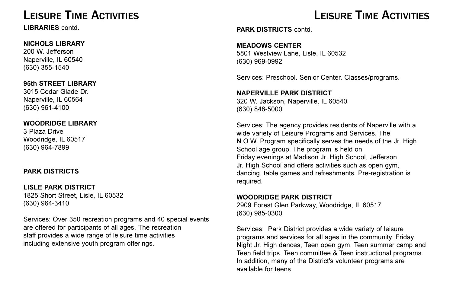### LEISURE TIME ACTIVITIES

**LIBRARIES** contd.

#### **NICHOLS LIBRARY**

200 W. Jefferson Naperville, IL 60540 (630) 355-1540

**95th STREET LIBRARY**

3015 Cedar Glade Dr. Naperville, IL 60564 (630) 961-4100

#### **WOODRIDGE LIBRARY**

3 Plaza Drive Woodridge, IL 60517 (630) 964-7899

#### **PARK DISTRICTS**

#### **LISLE PARK DISTRICT**

1825 Short Street, Lisle, IL 60532 (630) 964-3410

Services: Over 350 recreation programs and 40 special events are offered for participants of all ages. The recreation staff provides a wide range of leisure time activities including extensive youth program offerings.

### LEISURE TIME ACTIVITIES

**PARK DISTRICTS** contd.

#### **MEADOWS CENTER**

5801 Westview Lane, Lisle, IL 60532 (630) 969-0992

Services: Preschool. Senior Center. Classes/programs.

#### **NAPERVILLE PARK DISTRICT**

320 W. Jackson, Naperville, IL 60540 (630) 848-5000

Services: The agency provides residents of Naperville with a wide variety of Leisure Programs and Services. The N.O.W. Program specifically serves the needs of the Jr. High School age group. The program is held on Friday evenings at Madison Jr. High School, Jefferson Jr. High School and offers activities such as open gym, dancing, table games and refreshments. Pre-registration is required.

#### **WOODRIDGE PARK DISTRICT**

2909 Forest Glen Parkway, Woodridge, IL 60517 (630) 985-0300

Services: Park District provides a wide variety of leisure programs and services for all ages in the community. Friday Night Jr. High dances, Teen open gym, Teen summer camp and Teen field trips. Teen committee & Teen instructional programs. In addition, many of the District's volunteer programs are available for teens.